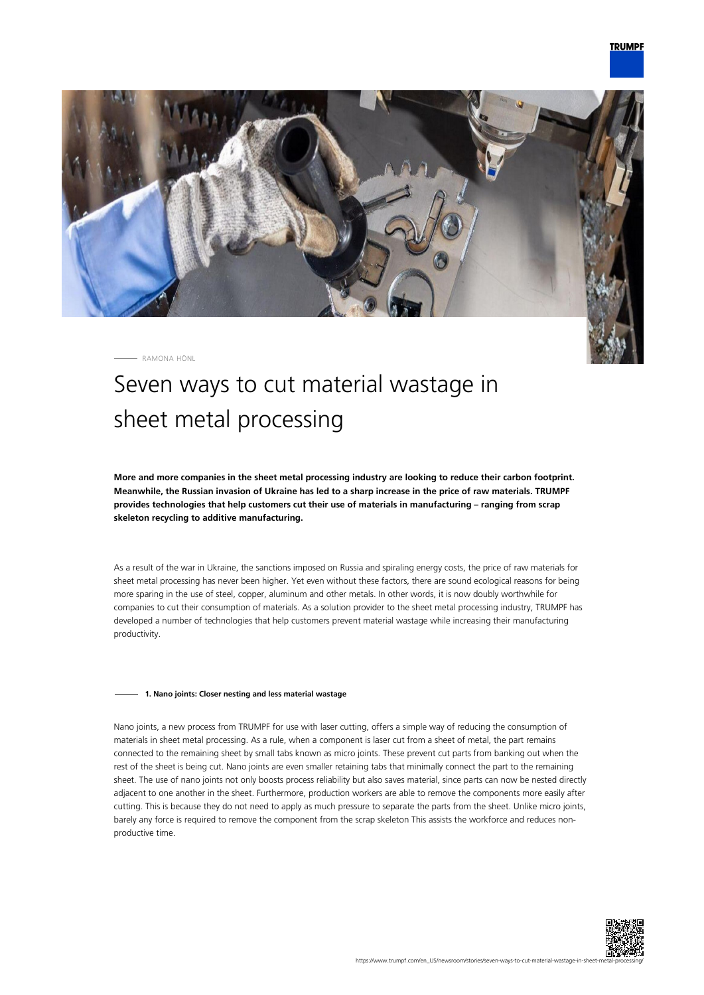



RAMONA HÖNL

# Seven ways to cut material wastage in sheet metal processing

**More and more companies in the sheet metal processing industry are looking to reduce their carbon footprint. Meanwhile, the Russian invasion of Ukraine has led to a sharp increase in the price of raw materials. TRUMPF provides technologies that help customers cut their use of materials in manufacturing – ranging from scrap skeleton recycling to additive manufacturing.**

As a result of the war in Ukraine, the sanctions imposed on Russia and spiraling energy costs, the price of raw materials for sheet metal processing has never been higher. Yet even without these factors, there are sound ecological reasons for being more sparing in the use of steel, copper, aluminum and other metals. In other words, it is now doubly worthwhile for companies to cut their consumption of materials. As a solution provider to the sheet metal processing industry, TRUMPF has developed a number of technologies that help customers prevent material wastage while increasing their manufacturing productivity.

# **1. Nano joints: Closer nesting and less material wastage**

Nano joints, a new process from TRUMPF for use with laser cutting, offers a simple way of reducing the consumption of materials in sheet metal processing. As a rule, when a component is laser cut from a sheet of metal, the part remains connected to the remaining sheet by small tabs known as micro joints. These prevent cut parts from banking out when the rest of the sheet is being cut. Nano joints are even smaller retaining tabs that minimally connect the part to the remaining sheet. The use of nano joints not only boosts process reliability but also saves material, since parts can now be nested directly adjacent to one another in the sheet. Furthermore, production workers are able to remove the components more easily after cutting. This is because they do not need to apply as much pressure to separate the parts from the sheet. Unlike micro joints, barely any force is required to remove the component from the scrap skeleton This assists the workforce and reduces nonproductive time.

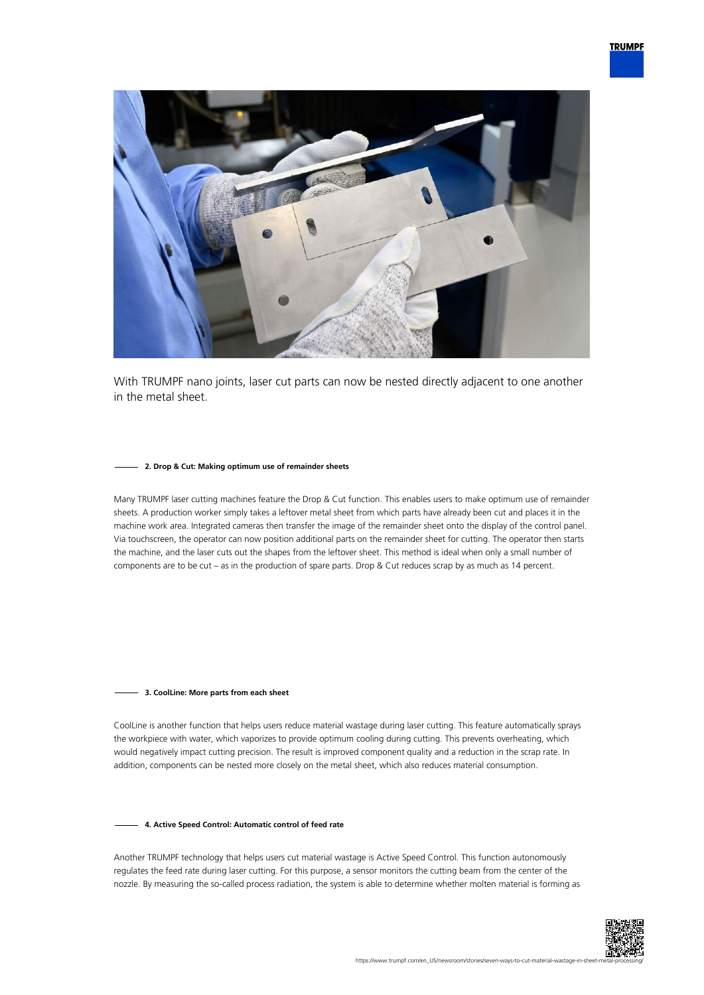

With TRUMPF nano joints, laser cut parts can now be nested directly adjacent to one another in the metal sheet.

# **2. Drop & Cut: Making optimum use of remainder sheets**

Many TRUMPF laser cutting machines feature the Drop & Cut function. This enables users to make optimum use of remainder sheets. A production worker simply takes a leftover metal sheet from which parts have already been cut and places it in the machine work area. Integrated cameras then transfer the image of the remainder sheet onto the display of the control panel. Via touchscreen, the operator can now position additional parts on the remainder sheet for cutting. The operator then starts the machine, and the laser cuts out the shapes from the leftover sheet. This method is ideal when only a small number of components are to be cut – as in the production of spare parts. Drop & Cut reduces scrap by as much as 14 percent.

## **3. CoolLine: More parts from each sheet**

CoolLine is another function that helps users reduce material wastage during laser cutting. This feature automatically sprays the workpiece with water, which vaporizes to provide optimum cooling during cutting. This prevents overheating, which would negatively impact cutting precision. The result is improved component quality and a reduction in the scrap rate. In addition, components can be nested more closely on the metal sheet, which also reduces material consumption.

#### **4. Active Speed Control: Automatic control of feed rate**

Another TRUMPF technology that helps users cut material wastage is Active Speed Control. This function autonomously regulates the feed rate during laser cutting. For this purpose, a sensor monitors the cutting beam from the center of the nozzle. By measuring the so-called process radiation, the system is able to determine whether molten material is forming as

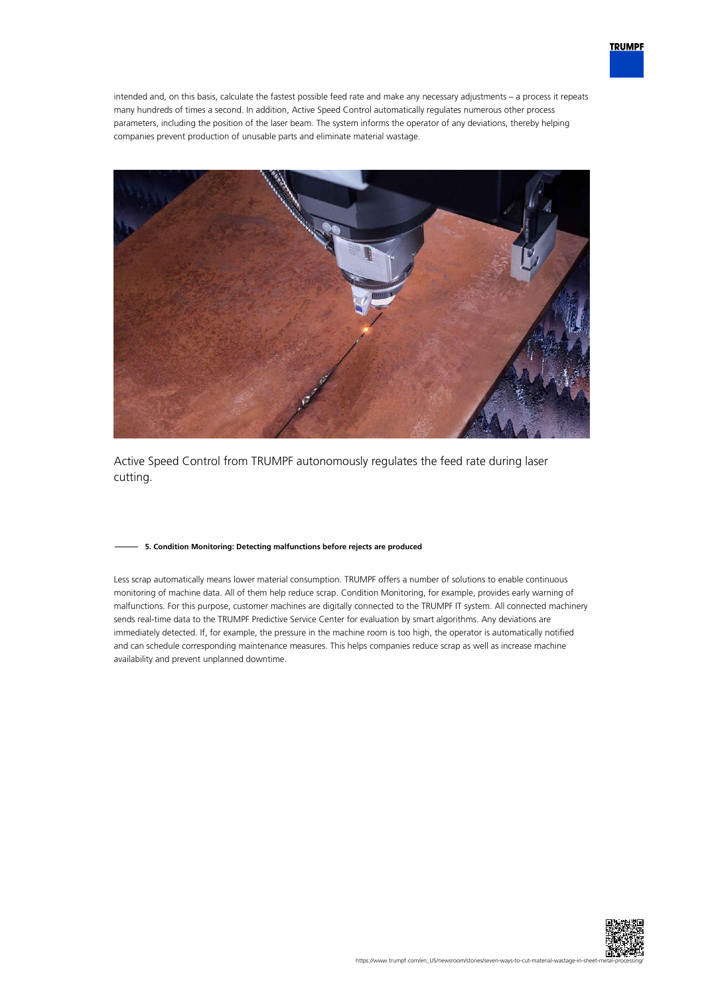

intended and, on this basis, calculate the fastest possible feed rate and make any necessary adjustments – a process it repeats many hundreds of times a second. In addition, Active Speed Control automatically regulates numerous other process parameters, including the position of the laser beam. The system informs the operator of any deviations, thereby helping companies prevent production of unusable parts and eliminate material wastage.



Active Speed Control from TRUMPF autonomously regulates the feed rate during laser cutting.

# **5. Condition Monitoring: Detecting malfunctions before rejects are produced**

Less scrap automatically means lower material consumption. TRUMPF offers a number of solutions to enable continuous monitoring of machine data. All of them help reduce scrap. Condition Monitoring, for example, provides early warning of malfunctions. For this purpose, customer machines are digitally connected to the TRUMPF IT system. All connected machinery sends real-time data to the TRUMPF Predictive Service Center for evaluation by smart algorithms. Any deviations are immediately detected. If, for example, the pressure in the machine room is too high, the operator is automatically notified and can schedule corresponding maintenance measures. This helps companies reduce scrap as well as increase machine availability and prevent unplanned downtime.

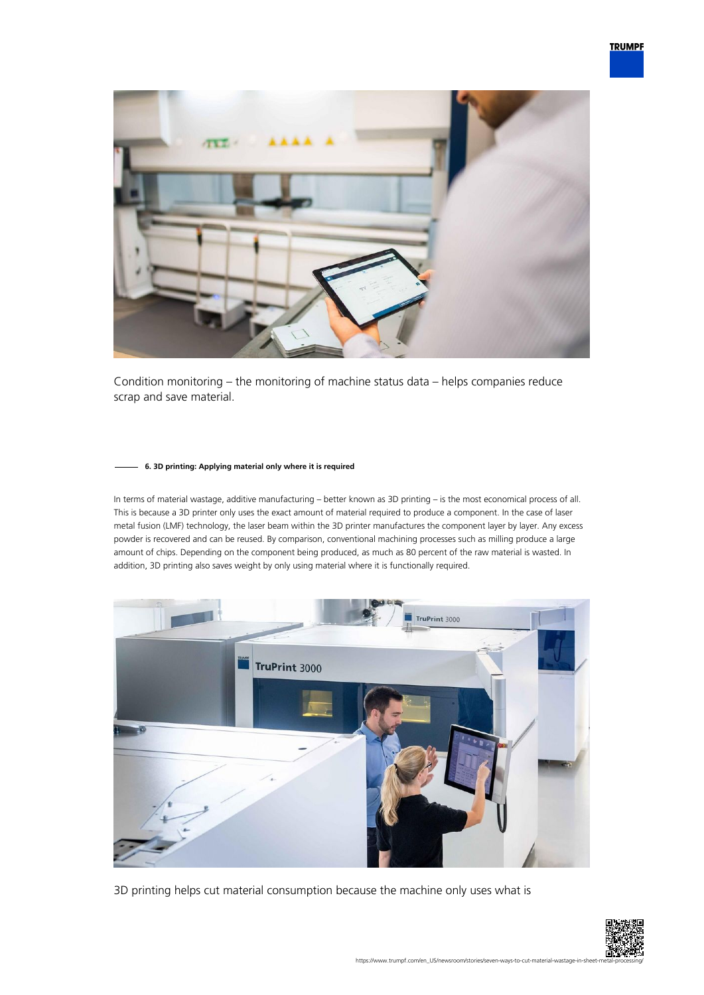

Condition monitoring – the monitoring of machine status data – helps companies reduce scrap and save material.

# **6. 3D printing: Applying material only where it is required**

In terms of material wastage, additive manufacturing – better known as 3D printing – is the most economical process of all. This is because a 3D printer only uses the exact amount of material required to produce a component. In the case of laser metal fusion (LMF) technology, the laser beam within the 3D printer manufactures the component layer by layer. Any excess powder is recovered and can be reused. By comparison, conventional machining processes such as milling produce a large amount of chips. Depending on the component being produced, as much as 80 percent of the raw material is wasted. In addition, 3D printing also saves weight by only using material where it is functionally required.



3D printing helps cut material consumption because the machine only uses what is